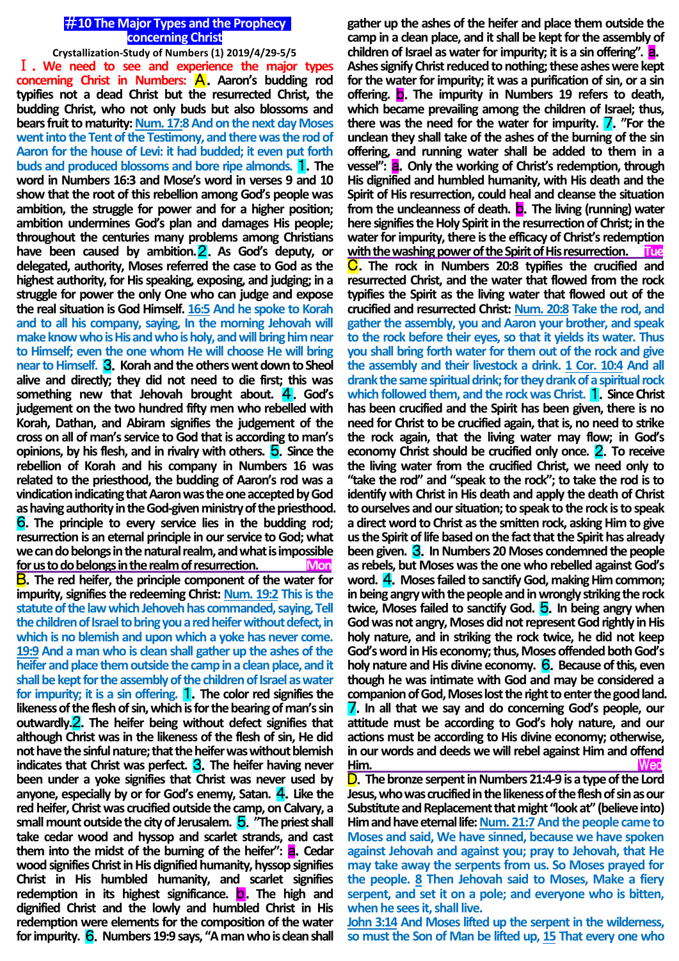## #**10 The Major Types and the Prophecy concerning Christ**

**Crystallization-Study of Numbers (1) 2019/4/29-5/5** Ⅰ.**We need to see and experience the major types concerning Christ in Numbers:** A.**Aaron's budding rod typifies not a dead Christ but the resurrected Christ, the budding Christ, who not only buds but also blossoms and bears fruit to maturity: Num. 17:8 And on the next day Moses went into the Tent of the Testimony, and there was the rod of Aaron for the house of Levi: it had budded; it even put forth buds and produced blossoms and bore ripe almonds.** 1.**The word in Numbers 16:3 and Mose's word in verses 9 and 10 show that the root of this rebellion among God's people was ambition, the struggle for power and for a higher position; ambition undermines God's plan and damages His people; throughout the centuries many problems among Christians have been caused by ambition.**2.**As God's deputy, or delegated, authority, Moses referred the case to God as the highest authority, for His speaking, exposing, and judging; in a struggle for power the only One who can judge and expose the real situation is God Himself. 16:5 And he spoke to Korah and to all his company, saying, In the morning Jehovah will make know who is His and who is holy, and will bring him near to Himself; even the one whom He will choose He will bring near to Himself.** 3.**Korah and the others went down to Sheol alive and directly; they did not need to die first; this was something new that Jehovah brought about.** 4.**God's judgement on the two hundred fifty men who rebelled with Korah, Dathan, and Abiram signifies the judgement of the cross on all of man's service to God that is according to man's opinions, by his flesh, and in rivalry with others. 5. Since the rebellion of Korah and his company in Numbers 16 was related to the priesthood, the budding of Aaron's rod was a vindication indicating that Aaron was the one accepted by God as having authority in the God-given ministry of the priesthood.** 6.**The principle to every service lies in the budding rod; resurrection is an eternal principle in our service to God; what we can do belongs in the natural realm, and what is impossible for us to do belongs in the realm of resurrection. Mon** B.**The red heifer, the principle component of the water for impurity, signifies the redeeming Christ: Num. 19:2 This is the statute of the law which Jehoveh has commanded, saying, Tell the children of Israel to bring you a red heifer without defect, in which is no blemish and upon which a yoke has never come. 19:9 And a man who is clean shall gather up the ashes of the heifer and place them outside the camp in a clean place, and it shall be kept for the assembly of the children of Israel as water for impurity; it is a sin offering.** 1.**The color red signifies the likeness of the flesh of sin, which is for the bearing of man's sin outwardly.**2.**The heifer being without defect signifies that although Christ was in the likeness of the flesh of sin, He did not have thesinful nature; that the heifer was without blemish indicates that Christ was perfect.** 3.**The heifer having never been under a yoke signifies that Christ was never used by anyone, especially by or for God's enemy, Satan.** 4.**Like the red heifer, Christ was crucified outside the camp, on Calvary, a small mount outside the city of Jerusalem.** 5.**"The priest shall take cedar wood and hyssop and scarlet strands, and cast them into the midst of the burning of the heifer":** a.**Cedar wood signifies Christ in His dignified humanity, hyssop signifies Christ in His humbled humanity, and scarlet signifies redemption in its highest significance.** b.**The high and dignified Christ and the lowly and humbled Christ in His redemption were elements for the composition of the water for impurity.** 6.**Numbers 19:9 says, "A man who is clean shall** 

**gather up the ashes of the heifer and place them outside the camp in a clean place, and it shall be kept for the assembly of children of Israel as water for impurity; it is a sin offering".** a. **Ashes signify Christ reduced to nothing; these ashes were kept for the water for impurity; it was a purification of sin, or a sin offering.** b.**The impurity in Numbers 19 refers to death, which became prevailing among the children of Israel; thus, there was the need for the water for impurity.** 7.**"For the unclean they shall take of the ashes of the burning of the sin offering, and running water shall be added to them in a vessel":** a.**Only the working of Christ's redemption, through His dignified and humbled humanity, with His death and the Spirit of His resurrection, could heal and cleanse the situation from the uncleanness of death.** b.**The living (running) water here signifies the Holy Spirit in the resurrection of Christ; inthe water for impurity, there is the efficacy of Christ's redemption with the washing power of the Spirit of His resurrection. Tue** C.**The rock in Numbers 20:8 typifies the crucified and resurrected Christ, and the water that flowed from the rock typifies the Spirit as the living water that flowed out of the crucified and resurrected Christ: Num. 20:8 Take the rod, and gather the assembly, you and Aaron your brother, and speak to the rock before their eyes, so that it yields its water. Thus you shall bring forth water for them out of the rock and give the assembly and their livestock a drink. 1 Cor. 10:4 And all drank the same spiritual drink; for they drank of a spiritual rock which followed them, and the rock was Christ.** 1.**Since Christ has been crucified and the Spirit has been given, there is no need for Christ to be crucified again, that is, no need to strike the rock again, that the living water may flow; in God's economy Christ should be crucified only once.** 2.**To receive the living water from the crucified Christ, we need only to "take the rod" and "speak to the rock"; to take the rod is to identify with Christ in His death and apply the death of Christ to ourselves and our situation; to speak to the rock is to speak a direct word to Christ as the smitten rock, asking Him to give us the Spirit of life based on the fact that the Spirit has already been given.** 3.**In Numbers 20 Moses condemned the people as rebels, but Moses was the one who rebelled against God's word.** 4.**Moses failed to sanctify God, making Him common; in being angry with the people and in wrongly striking the rock twice, Moses failed to sanctify God.** 5.**In being angry when God was not angry, Moses did not represent God rightly in His holy nature, and in striking the rock twice, he did not keep God's word in His economy; thus, Moses offended both God's**  holy nature and His divine economy. **6.** Because of this, even **though he was intimate with God and may be considered a companion of God, Moses lost the right to enter the good land.**  7.**In all that we say and do concerning God's people, our attitude must be according to God's holy nature, and our actions must be according to His divine economy; otherwise, in our words and deeds we will rebel against Him and offend Him.** Wed D.**The bronze serpent in Numbers 21:4-9 is a type of the Lord** 

**Jesus, who was crucified in the likeness of the flesh of sin as our Substitute and Replacement that might "look at" (believe into) Him and have eternal life: Num. 21:7And the people came to Moses and said, We have sinned, because we have spoken against Jehovah and against you; pray to Jehovah, that He may take away the serpents from us. So Moses prayed for the people. 8 Then Jehovah said to Moses, Make a fiery serpent, and set it on a pole; and everyone who is bitten, when he sees it, shall live.**

**John 3:14 And Moses lifted up the serpent in the wilderness, so must the Son of Man be lifted up, 15 That every one who**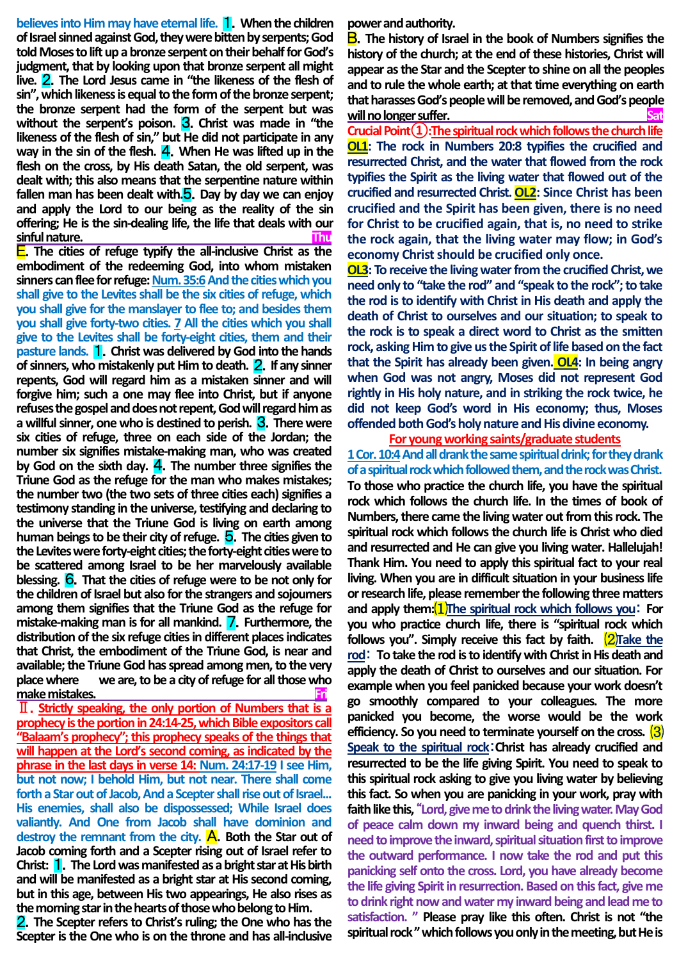**believes into Him may have eternal life.** 1.**When the children of Israel sinned against God, they were bitten by serpents; God told Moses to lift up a bronze serpent on their behalf for God's judgment, that by looking upon that bronze serpent all might live.** 2.**The Lord Jesus came in "the likeness of the flesh of sin", which likeness is equal to the form of the bronze serpent; the bronze serpent had the form of the serpent but was without the serpent's poison.** 3.**Christ was made in "the likeness of the flesh of sin," but He did not participate in any way in the sin of the flesh.** 4.**When He was lifted up in the flesh on the cross, by His death Satan, the old serpent, was dealt with; this also means that the serpentine nature within fallen man has been dealt with.**5.**Day by day we can enjoy and apply the Lord to our being as the reality of the sin offering; He is the sin-dealing life, the life that deals with our sinful nature. Thu**

E.**The cities of refuge typify the all-inclusive Christ as the embodiment of the redeeming God, into whom mistaken**  sinners can flee for refuge: Num. 35:6 And the cities which you **shall give to the Levites shall be the six cities of refuge, which you shall give for the manslayer to flee to; and besides them you shall give forty-two cities. 7 All the cities which you shall give to the Levites shall be forty-eight cities, them and their pasture lands.** 1.**Christ was delivered by God into the hands of sinners, who mistakenly put Him to death.** 2.**If any sinner repents, God will regard him as a mistaken sinner and will forgive him; such a one may flee into Christ, but if anyone refuses the gospel and does not repent, God will regard him as a willful sinner, one who is destined to perish.** 3.**There were six cities of refuge, three on each side of the Jordan; the number six signifies mistake-making man, who was created by God on the sixth day.** 4.**The number three signifies the Triune God as the refuge for the man who makes mistakes; the number two (the two sets of three cities each) signifies a testimony standing in the universe, testifying and declaring to the universe that the Triune God is living on earth among human beings to be their city of refuge.** 5.**The cities given to the Levites were forty-eight cities; the forty-eight cities were to be scattered among Israel to be her marvelously available blessing.** 6.**That the cities of refuge were to be not only for the children of Israel but also for the strangers and sojourners among them signifies that the Triune God as the refuge for mistake-making man is for all mankind.** 7.**Furthermore, the distribution of the six refuge cities in different places indicates that Christ, the embodiment of the Triune God, is near and available; the Triune God has spread among men, to the very place where we are, to be a city of refuge for all those who**  make mistakes.

Ⅱ.**Strictly speaking, the only portion of Numbers that is a prophecy is the portion in 24:14-25, which Bible expositors call "Balaam's prophecy"; this prophecy speaks of the things that will happen at the Lord's second coming, as indicated by the phrase in the last days in verse 14: Num. 24:17-19 I see Him, but not now; I behold Him, but not near. There shall come forth a Star out of Jacob, And a Scepter shall rise out of Israel... His enemies, shall also be dispossessed; While Israel does valiantly. And One from Jacob shall have dominion and**  destroy the remnant from the city. A. Both the Star out of **Jacob coming forth and a Scepter rising out of Israel refer to Christ:** 1.**The Lord was manifested as a bright star at His birth and will be manifested as a bright star at His second coming, but in this age, between His two appearings, He also rises as the morning star in the hearts of those who belong to Him.**

2.**The Scepter refers to Christ's ruling; the One who has the Scepter is the One who is on the throne and has all-inclusive**  **power and authority.**

B.**The history of Israel in the book of Numbers signifies the history of the church; at the end of these histories, Christ will appear as the Star and the Scepter to shine on all the peoples and to rule the whole earth; at that time everything on earth that harasses God's people will be removed, and God's people** <u>will no longer suffer.</u>

**Crucial Point①:The spiritual rock which follows the church life OL1: The rock in Numbers 20:8 typifies the crucified and resurrected Christ, and the water that flowed from the rock typifies the Spirit as the living water that flowed out of the crucified and resurrected Christ. OL2: Since Christ has been crucified and the Spirit has been given, there is no need for Christ to be crucified again, that is, no need to strike the rock again, that the living water may flow; in God's economy Christ should be crucified only once.**

**OL3: To receive the living water from the crucified Christ, we need only to "take the rod" and "speak to the rock"; to take the rod is to identify with Christ in His death and apply the death of Christ to ourselves and our situation; to speak to the rock is to speak a direct word to Christ as the smitten rock, asking Him to give us the Spirit of life based on the fact that the Spirit has already been given. OL4: In being angry when God was not angry, Moses did not represent God rightly in His holy nature, and in striking the rock twice, he did not keep God's word in His economy; thus, Moses offended both God's holy nature and His divine economy.**

#### **For young working saints/graduate students**

**1 Cor. 10:4And all drank the same spiritual drink; for they drank of a spiritual rock which followed them, and the rock was Christ. To those who practice the church life, you have the spiritual rock which follows the church life. In the times of book of Numbers, there came the living water out from this rock. The spiritual rock which follows the church life is Christ who died and resurrected and He can give you living water. Hallelujah! Thank Him. You need to apply this spiritual fact to your real living. When you are in difficult situation in your business life or research life, please remember the following three matters and apply them:**⑴**The spiritual rock which follows you**: **For you who practice church life, there is "spiritual rock which follows you". Simply receive this fact by faith.** ⑵**Take the rod**: **To take the rod is to identify with Christ in His death and apply the death of Christ to ourselves and our situation. For example when you feel panicked because your work doesn't go smoothly compared to your colleagues. The more panicked you become, the worse would be the work efficiency. So you need to terminate yourself on the cross.** ⑶ **Speak to the spiritual rock**:**Christ has already crucified and resurrected to be the life giving Spirit. You need to speak to this spiritual rock asking to give you living water by believing this fact. So when you are panicking in your work, pray with faith like this,** "**Lord, give me to drink the living water. May God of peace calm down my inward being and quench thirst. I need to improve the inward, spiritual situation first to improve the outward performance. I now take the rod and put this panicking self onto the cross. Lord, you have already become the life giving Spirit in resurrection. Based on this fact, give me to drink right now and water my inward being and lead me to satisfaction. " Please pray like this often. Christ is not "the spiritual rock " which follows you only in the meeting, but He is**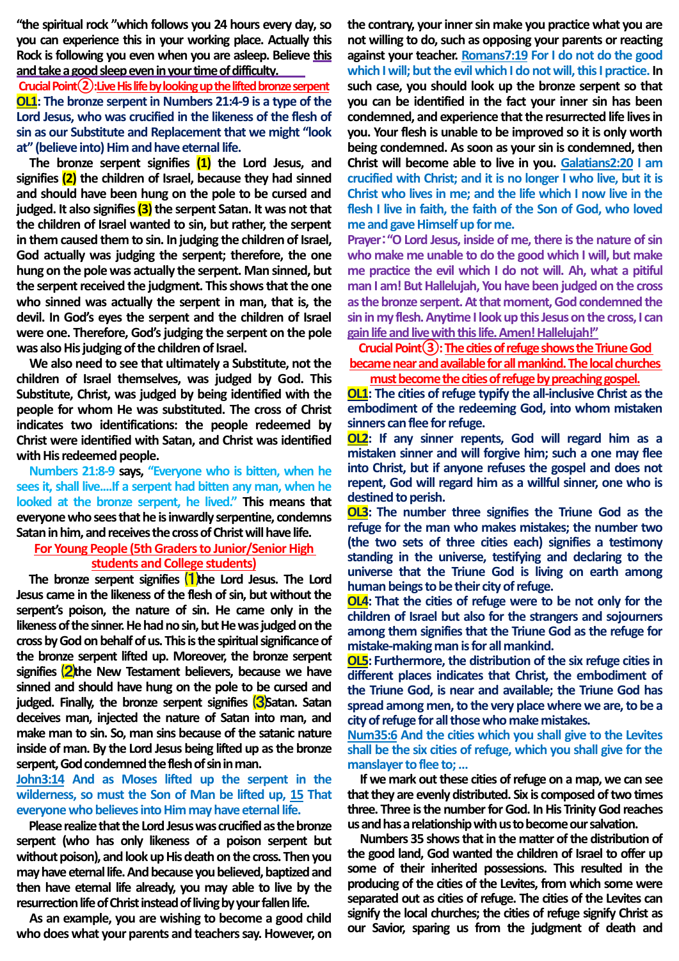**"the spiritual rock "which follows you 24 hours every day, so you can experience this in your working place. Actually this Rock is following you even when you are asleep. Believe this and take a good sleep even in your time of difficulty.** 

**Crucial Point②:Live His life by looking up the lifted bronze serpent OL1: The bronze serpent in Numbers 21:4-9 is a type of the Lord Jesus, who was crucified in the likeness of the flesh of sin as our Substitute and Replacement that we might "look at" (believe into) Him and have eternal life.**

**The bronze serpent signifies (1) the Lord Jesus, and signifies (2) the children of Israel, because they had sinned and should have been hung on the pole to be cursed and judged. It also signifies (3) the serpent Satan. It was not that the children of Israel wanted to sin, but rather, the serpent in them caused them to sin. In judging the children of Israel, God actually was judging the serpent; therefore, the one hung on the pole was actually the serpent. Man sinned, but the serpent received the judgment. This shows that the one who sinned was actually the serpent in man, that is, the devil. In God's eyes the serpent and the children of Israel were one. Therefore, God's judging the serpent on the pole was also His judging of the children of Israel.**

**We also need to see that ultimately a Substitute, not the children of Israel themselves, was judged by God. This Substitute, Christ, was judged by being identified with the people for whom He was substituted. The cross of Christ indicates two identifications: the people redeemed by Christ were identified with Satan, and Christ was identified with His redeemed people.**

**Numbers 21:8-9 says, "Everyone who is bitten, when he sees it, shall live....If a serpent had bitten any man, when he looked at the bronze serpent, he lived." This means that everyone who sees that he is inwardly serpentine, condemns Satan in him, and receives the cross of Christ will have life.**

# **For Young People (5th Graders to Junior/Senior High students and College students)**

**The bronze serpent signifies** ⑴**the Lord Jesus. The Lord Jesus came in the likeness of the flesh of sin, but without the serpent's poison, the nature of sin. He came only in the likeness of the sinner. He had no sin, but He was judged on the**  cross by God on behalf of us. This is the spiritual significance of **the bronze serpent lifted up. Moreover, the bronze serpent**  signifies **2**<sup>the</sup> New Testament believers, because we have **sinned and should have hung on the pole to be cursed and judged. Finally, the bronze serpent signifies <b>3**Satan. Satan **deceives man, injected the nature of Satan into man, and make man to sin. So, man sins because of the satanic nature inside of man. By the Lord Jesus being lifted up as the bronze serpent, God condemned the flesh of sin in man.**

# **John3:14 And as Moses lifted up the serpent in the wilderness, so must the Son of Man be lifted up, 15 That everyone who believes into Him may have eternal life.**

**Please realize that the Lord Jesus was crucified as the bronze serpent (who has only likeness of a poison serpent but without poison), and look up His death on the cross. Then you may have eternal life. And because you believed, baptized and then have eternal life already, you may able to live by the resurrection life of Christ instead of living by your fallen life.**

**As an example, you are wishing to become a good child who does what your parents and teachers say. However, on**  **the contrary, your inner sin make you practice what you are not willing to do, such as opposing your parents or reacting against your teacher. Romans7:19 For I do not do the good which I will; but the evil which I do not will, this I practice. In such case, you should look up the bronze serpent so that you can be identified in the fact your inner sin has been condemned, and experience that the resurrected life lives in you. Your flesh is unable to be improved so it is only worth being condemned. As soon as your sin is condemned, then Christ will become able to live in you. Galatians2:20 I am crucified with Christ; and it is no longer I who live, but it is Christ who lives in me; and the life which I now live in the flesh I live in faith, the faith of the Son of God, who loved me and gave Himself up for me.**

**Prayer**:**"O Lord Jesus, inside of me, there is the nature of sin who make me unable to do the good which I will, but make me practice the evil which I do not will. Ah, what a pitiful man I am! But Hallelujah, You have been judged on the cross as the bronze serpent. At that moment, God condemned the sin in my flesh. Anytime I look up this Jesus on the cross, I can gain life and live with this life. Amen! Hallelujah!"**

**Crucial Point③:The cities of refuge shows the Triune God became near and available for all mankind. The local churches must become the cities of refuge by preaching gospel.**

**OL1: The cities of refuge typify the all-inclusive Christ as the embodiment of the redeeming God, into whom mistaken sinners can flee for refuge.**

**OL2: If any sinner repents, God will regard him as a mistaken sinner and will forgive him; such a one may flee into Christ, but if anyone refuses the gospel and does not repent, God will regard him as a willful sinner, one who is destined to perish.**

**OL3: The number three signifies the Triune God as the refuge for the man who makes mistakes; the number two (the two sets of three cities each) signifies a testimony standing in the universe, testifying and declaring to the universe that the Triune God is living on earth among human beings to be their city of refuge.**

**OL4: That the cities of refuge were to be not only for the children of Israel but also for the strangers and sojourners among them signifies that the Triune God as the refuge for mistake-making man is for all mankind.**

**OL5: Furthermore, the distribution of the six refuge cities in different places indicates that Christ, the embodiment of the Triune God, is near and available; the Triune God has spread among men, to the very place where we are, to be a city of refuge for all those who make mistakes.**

**Num35:6 And the cities which you shall give to the Levites shall be the six cities of refuge, which you shall give for the manslayer to flee to;…**

**If we mark out these cities of refuge on a map, we can see that they are evenly distributed. Six is composed of two times three. Three is the number for God. In His Trinity God reaches us and has a relationship with us to become our salvation.**

**Numbers 35 shows that in the matter of the distribution of the good land, God wanted the children of Israel to offer up some of their inherited possessions. This resulted in the producing of the cities of the Levites, from which some were separated out as cities of refuge. The cities of the Levites can signify the local churches; the cities of refuge signify Christ as our Savior, sparing us from the judgment of death and**